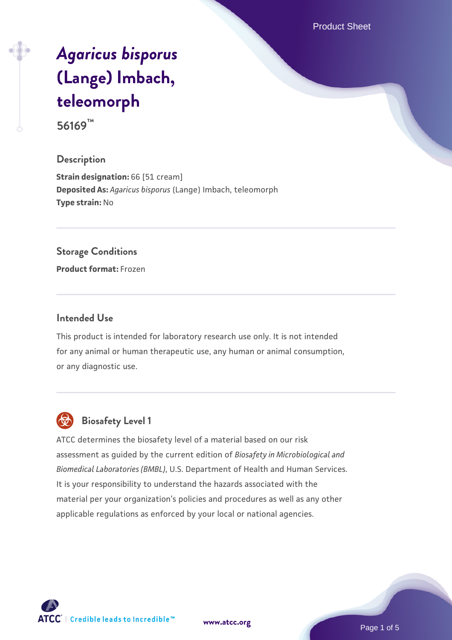Product Sheet

# *[Agaricus bisporus](https://www.atcc.org/products/56169)* **[\(Lange\) Imbach,](https://www.atcc.org/products/56169) [teleomorph](https://www.atcc.org/products/56169)**

**56169™**

## **Description**

**Strain designation: 66 [51 cream] Deposited As:** *Agaricus bisporus* (Lange) Imbach, teleomorph **Type strain:** No

## **Storage Conditions**

**Product format:** Frozen

#### **Intended Use**

This product is intended for laboratory research use only. It is not intended for any animal or human therapeutic use, any human or animal consumption, or any diagnostic use.



## **Biosafety Level 1**

ATCC determines the biosafety level of a material based on our risk assessment as guided by the current edition of *Biosafety in Microbiological and Biomedical Laboratories (BMBL)*, U.S. Department of Health and Human Services. It is your responsibility to understand the hazards associated with the material per your organization's policies and procedures as well as any other applicable regulations as enforced by your local or national agencies.

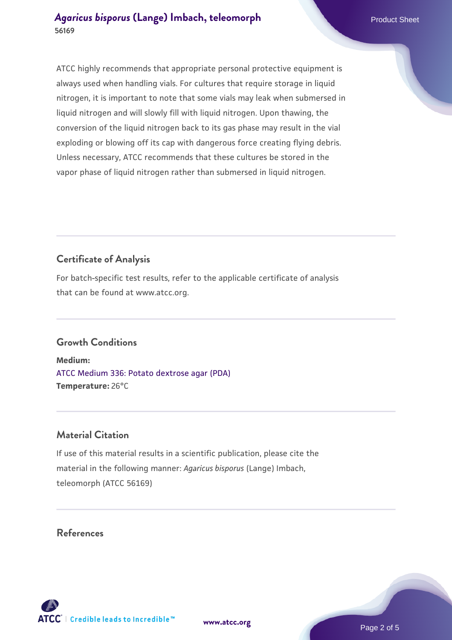ATCC highly recommends that appropriate personal protective equipment is always used when handling vials. For cultures that require storage in liquid nitrogen, it is important to note that some vials may leak when submersed in liquid nitrogen and will slowly fill with liquid nitrogen. Upon thawing, the conversion of the liquid nitrogen back to its gas phase may result in the vial exploding or blowing off its cap with dangerous force creating flying debris. Unless necessary, ATCC recommends that these cultures be stored in the vapor phase of liquid nitrogen rather than submersed in liquid nitrogen.

## **Certificate of Analysis**

For batch-specific test results, refer to the applicable certificate of analysis that can be found at www.atcc.org.

## **Growth Conditions**

**Medium:**  [ATCC Medium 336: Potato dextrose agar \(PDA\)](https://www.atcc.org/-/media/product-assets/documents/microbial-media-formulations/3/3/6/atcc-medium-336.pdf?rev=d9160ad44d934cd8b65175461abbf3b9) **Temperature:** 26°C

## **Material Citation**

If use of this material results in a scientific publication, please cite the material in the following manner: *Agaricus bisporus* (Lange) Imbach, teleomorph (ATCC 56169)

**[www.atcc.org](http://www.atcc.org)**

## **References**

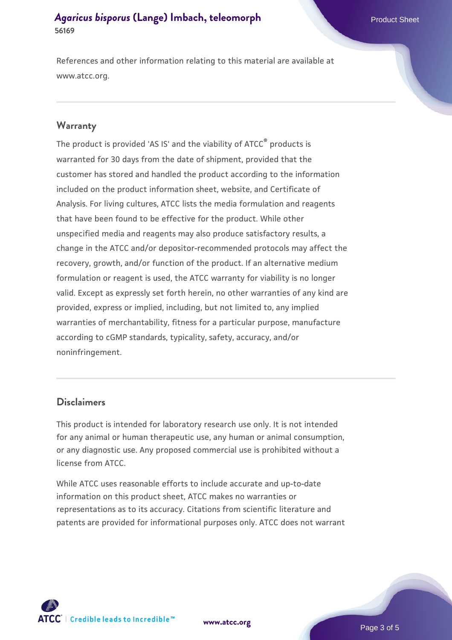References and other information relating to this material are available at www.atcc.org.

#### **Warranty**

The product is provided 'AS IS' and the viability of ATCC® products is warranted for 30 days from the date of shipment, provided that the customer has stored and handled the product according to the information included on the product information sheet, website, and Certificate of Analysis. For living cultures, ATCC lists the media formulation and reagents that have been found to be effective for the product. While other unspecified media and reagents may also produce satisfactory results, a change in the ATCC and/or depositor-recommended protocols may affect the recovery, growth, and/or function of the product. If an alternative medium formulation or reagent is used, the ATCC warranty for viability is no longer valid. Except as expressly set forth herein, no other warranties of any kind are provided, express or implied, including, but not limited to, any implied warranties of merchantability, fitness for a particular purpose, manufacture according to cGMP standards, typicality, safety, accuracy, and/or noninfringement.

#### **Disclaimers**

This product is intended for laboratory research use only. It is not intended for any animal or human therapeutic use, any human or animal consumption, or any diagnostic use. Any proposed commercial use is prohibited without a license from ATCC.

While ATCC uses reasonable efforts to include accurate and up-to-date information on this product sheet, ATCC makes no warranties or representations as to its accuracy. Citations from scientific literature and patents are provided for informational purposes only. ATCC does not warrant



**[www.atcc.org](http://www.atcc.org)**

Page 3 of 5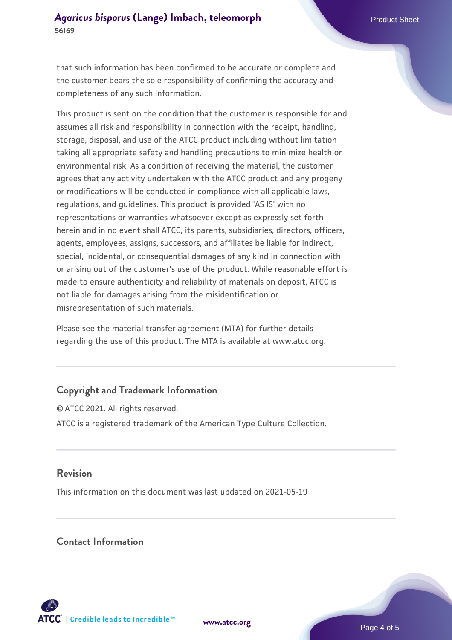that such information has been confirmed to be accurate or complete and the customer bears the sole responsibility of confirming the accuracy and completeness of any such information.

This product is sent on the condition that the customer is responsible for and assumes all risk and responsibility in connection with the receipt, handling, storage, disposal, and use of the ATCC product including without limitation taking all appropriate safety and handling precautions to minimize health or environmental risk. As a condition of receiving the material, the customer agrees that any activity undertaken with the ATCC product and any progeny or modifications will be conducted in compliance with all applicable laws, regulations, and guidelines. This product is provided 'AS IS' with no representations or warranties whatsoever except as expressly set forth herein and in no event shall ATCC, its parents, subsidiaries, directors, officers, agents, employees, assigns, successors, and affiliates be liable for indirect, special, incidental, or consequential damages of any kind in connection with or arising out of the customer's use of the product. While reasonable effort is made to ensure authenticity and reliability of materials on deposit, ATCC is not liable for damages arising from the misidentification or misrepresentation of such materials.

Please see the material transfer agreement (MTA) for further details regarding the use of this product. The MTA is available at www.atcc.org.

## **Copyright and Trademark Information**

© ATCC 2021. All rights reserved. ATCC is a registered trademark of the American Type Culture Collection.

## **Revision**

This information on this document was last updated on 2021-05-19

## **Contact Information**



**[www.atcc.org](http://www.atcc.org)**

Page 4 of 5